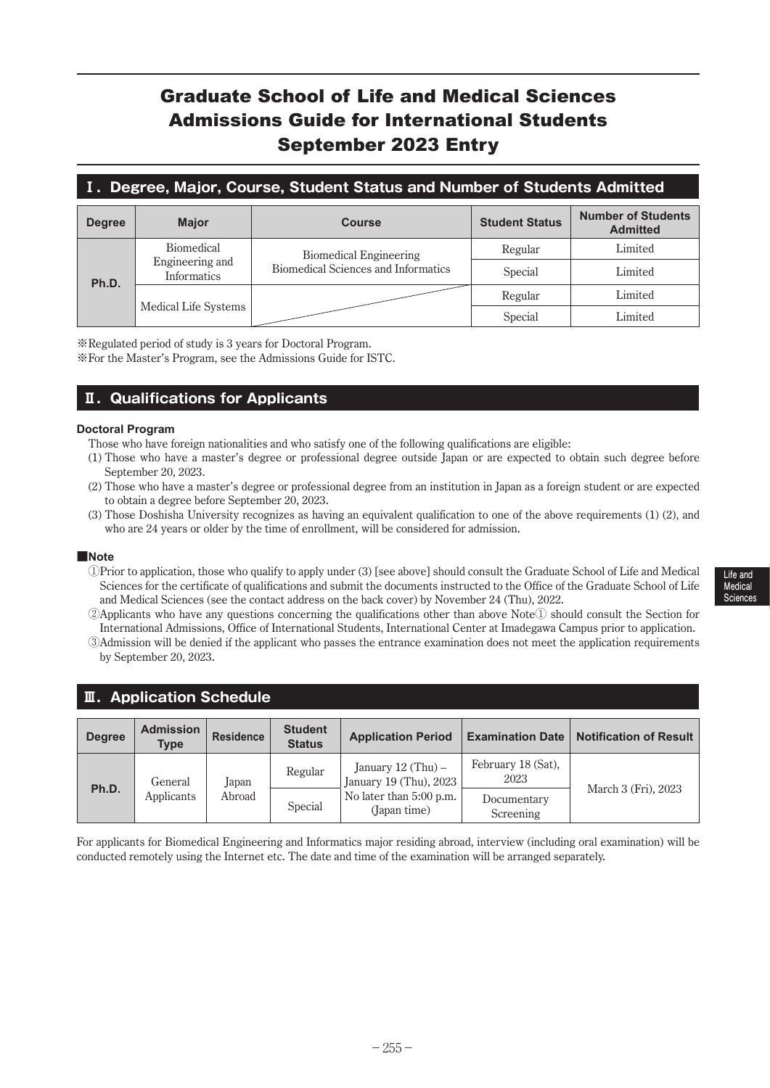# Graduate School of Life and Medical Sciences Admissions Guide for International Students September 2023 Entry

### **Ⅰ.Degree, Major, Course, Student Status and Number of Students Admitted**

| <b>Degree</b> | <b>Major</b><br><b>Course</b>  |                                            | <b>Student Status</b> | <b>Number of Students</b><br><b>Admitted</b> |  |
|---------------|--------------------------------|--------------------------------------------|-----------------------|----------------------------------------------|--|
| Ph.D.         | <b>Biomedical</b>              | <b>Biomedical Engineering</b>              | Regular               | Limited                                      |  |
|               | Engineering and<br>Informatics | <b>Biomedical Sciences and Informatics</b> | Special               | Limited                                      |  |
|               |                                |                                            | Regular               | Limited                                      |  |
|               | Medical Life Systems           |                                            | Special               | Limited                                      |  |

※Regulated period of study is 3 years for Doctoral Program.

※For the Master's Program, see the Admissions Guide for ISTC.

### **Ⅱ.Qualifications for Applicants**

### **Doctoral Program**

- Those who have foreign nationalities and who satisfy one of the following qualifications are eligible:
- (1) Those who have a master's degree or professional degree outside Japan or are expected to obtain such degree before September 20, 2023.
- (2) Those who have a master's degree or professional degree from an institution in Japan as a foreign student or are expected to obtain a degree before September 20, 2023.
- (3) Those Doshisha University recognizes as having an equivalent qualification to one of the above requirements (1) (2), and who are 24 years or older by the time of enrollment, will be considered for admission.

### **■Note**

- ① Prior to application, those who qualify to apply under (3) [see above] should consult the Graduate School of Life and Medical Sciences for the certificate of qualifications and submit the documents instructed to the Office of the Graduate School of Life and Medical Sciences (see the contact address on the back cover) by November 24 (Thu), 2022.
- ② Applicants who have any questions concerning the qualifications other than above Note① should consult the Section for International Admissions, Office of International Students, International Center at Imadegawa Campus prior to application.
- ③ Admission will be denied if the applicant who passes the entrance examination does not meet the application requirements by September 20, 2023.

| <b>II.</b> Application Schedule |                                 |                                                     |                                         |                                              |                            |                               |  |  |  |
|---------------------------------|---------------------------------|-----------------------------------------------------|-----------------------------------------|----------------------------------------------|----------------------------|-------------------------------|--|--|--|
| <b>Degree</b>                   | <b>Admission</b><br><b>Type</b> | <b>Residence</b>                                    | <b>Student</b><br><b>Status</b>         | <b>Application Period</b>                    | <b>Examination Date</b>    | <b>Notification of Result</b> |  |  |  |
| Ph.D.                           | General                         | Regular<br>Japan<br>Abroad<br>Applicants<br>Special |                                         | January 12 (Thu) -<br>January 19 (Thu), 2023 | February 18 (Sat),<br>2023 | March 3 (Fri), 2023           |  |  |  |
|                                 |                                 |                                                     | No later than 5:00 p.m.<br>(Japan time) | Documentary<br>Screening                     |                            |                               |  |  |  |

For applicants for Biomedical Engineering and Informatics major residing abroad, interview (including oral examination) will be conducted remotely using the Internet etc. The date and time of the examination will be arranged separately.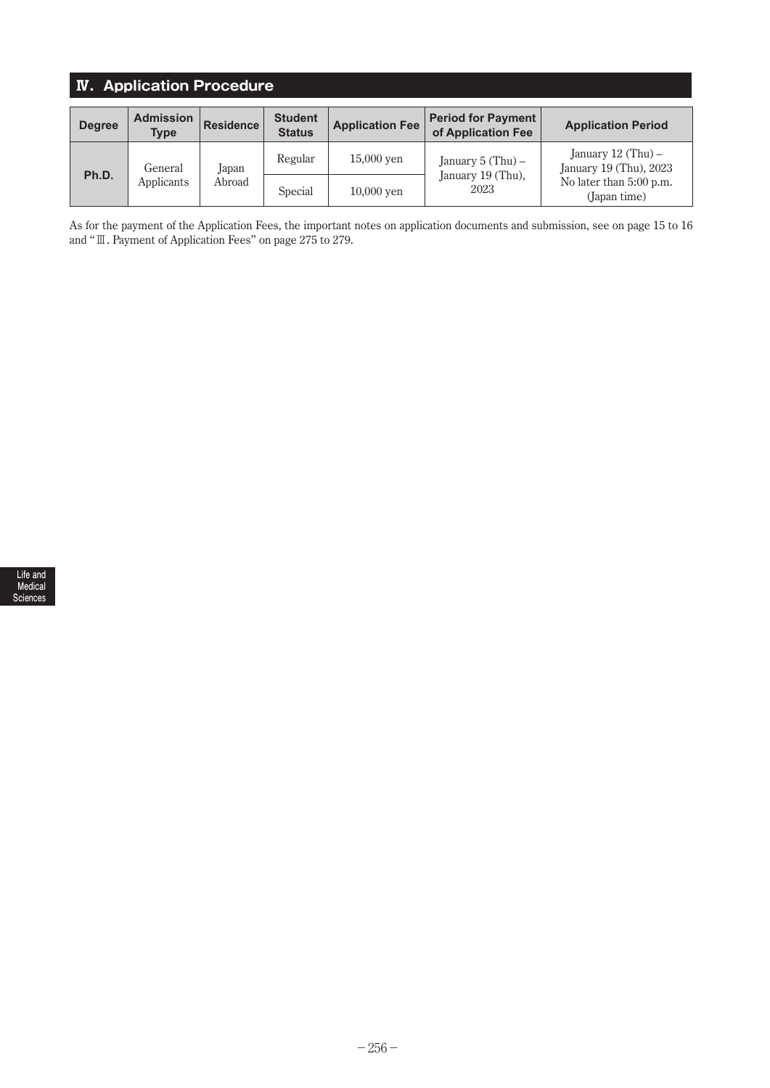# **Ⅳ.Application Procedure**

| <b>Degree</b> | <b>Admission</b><br><b>Type</b>          | <b>Residence</b> | <b>Student</b><br><b>Status</b> | <b>Application Fee</b>    | <b>Period for Payment</b><br>of Application Fee | <b>Application Period</b>                      |
|---------------|------------------------------------------|------------------|---------------------------------|---------------------------|-------------------------------------------------|------------------------------------------------|
| Ph.D.         | General<br>Japan<br>Applicants<br>Abroad |                  | Regular                         | 15,000 yen                | January $5 (Thu)$ –                             | January 12 (Thu) $-$<br>January 19 (Thu), 2023 |
|               |                                          | Special          | 10,000 yen                      | January 19 (Thu),<br>2023 | No later than 5:00 p.m.<br>(Japan time)         |                                                |

As for the payment of the Application Fees, the important notes on application documents and submission, see on page 15 to 16 and "Ⅲ. Payment of Application Fees" on page 275 to 279.

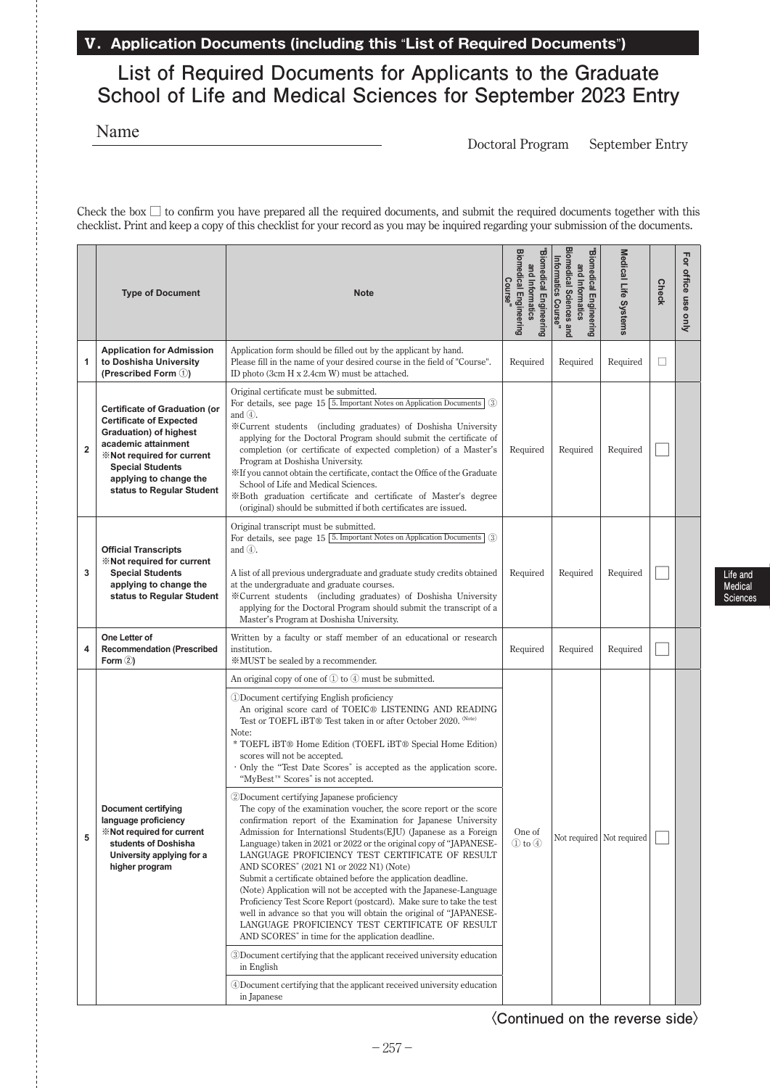## **Ⅴ.Application Documents (including this** "**List of Required Documents**"**)**

## **List of Required Documents for Applicants to the Graduate School of Life and Medical Sciences for September 2023 Entry**

Name

Doctoral Program September Entry

Check the box  $\Box$  to confirm you have prepared all the required documents, and submit the required documents together with this checklist. Print and keep a copy of this checklist for your record as you may be inquired regarding your submission of the documents.

|             | <b>Type of Document</b><br><b>Note</b>                                                                                                                                                                                                 |                                                                                                                                                                                                                                                                                                                                                                                                                                                                                                                                                                                                                                                                                                                                                                                                                                                                                                                                                                                                                                                                                                                                                                                                                                                                                                    | <b>Biomedical Engineering</b><br><b>Biomedical Engineering</b><br>and Informatics<br>Course" | Biomedical Sciences and<br>"Biomedical Engineering<br>Informatics Course"<br>and Informatics | Medical Life Systems | <b>Check</b> | For office use only |
|-------------|----------------------------------------------------------------------------------------------------------------------------------------------------------------------------------------------------------------------------------------|----------------------------------------------------------------------------------------------------------------------------------------------------------------------------------------------------------------------------------------------------------------------------------------------------------------------------------------------------------------------------------------------------------------------------------------------------------------------------------------------------------------------------------------------------------------------------------------------------------------------------------------------------------------------------------------------------------------------------------------------------------------------------------------------------------------------------------------------------------------------------------------------------------------------------------------------------------------------------------------------------------------------------------------------------------------------------------------------------------------------------------------------------------------------------------------------------------------------------------------------------------------------------------------------------|----------------------------------------------------------------------------------------------|----------------------------------------------------------------------------------------------|----------------------|--------------|---------------------|
| 1           | <b>Application for Admission</b><br>to Doshisha University<br>(Prescribed Form 1)                                                                                                                                                      | Application form should be filled out by the applicant by hand.<br>Please fill in the name of your desired course in the field of "Course".<br>ID photo (3cm H x 2.4cm W) must be attached.                                                                                                                                                                                                                                                                                                                                                                                                                                                                                                                                                                                                                                                                                                                                                                                                                                                                                                                                                                                                                                                                                                        | Required                                                                                     | Required                                                                                     | Required             | $\Box$       |                     |
| $\mathbf 2$ | <b>Certificate of Graduation (or</b><br><b>Certificate of Expected</b><br>Graduation) of highest<br>academic attainment<br>*Not required for current<br><b>Special Students</b><br>applying to change the<br>status to Regular Student | Original certificate must be submitted.<br>For details, see page 15 $\overline{5}$ . Important Notes on Application Documents $\overline{3}$<br>and $(4)$ .<br>*Current students (including graduates) of Doshisha University<br>applying for the Doctoral Program should submit the certificate of<br>completion (or certificate of expected completion) of a Master's<br>Program at Doshisha University.<br>XIf you cannot obtain the certificate, contact the Office of the Graduate<br>School of Life and Medical Sciences.<br>*Both graduation certificate and certificate of Master's degree<br>(original) should be submitted if both certificates are issued.                                                                                                                                                                                                                                                                                                                                                                                                                                                                                                                                                                                                                              | Required                                                                                     | Required                                                                                     | Required             |              |                     |
| 3           | <b>Official Transcripts</b><br><b>X</b> Not required for current<br><b>Special Students</b><br>applying to change the<br>status to Regular Student                                                                                     | Original transcript must be submitted.<br>For details, see page 15 5. Important Notes on Application Documents 3<br>and $(4)$ .<br>A list of all previous undergraduate and graduate study credits obtained<br>at the undergraduate and graduate courses.<br>*Current students (including graduates) of Doshisha University<br>applying for the Doctoral Program should submit the transcript of a<br>Master's Program at Doshisha University.                                                                                                                                                                                                                                                                                                                                                                                                                                                                                                                                                                                                                                                                                                                                                                                                                                                     |                                                                                              | Required                                                                                     | Required             |              |                     |
| 4           | One Letter of<br><b>Recommendation (Prescribed</b><br>Form $(2)$                                                                                                                                                                       | Written by a faculty or staff member of an educational or research<br>institution.<br>*MUST be sealed by a recommender.                                                                                                                                                                                                                                                                                                                                                                                                                                                                                                                                                                                                                                                                                                                                                                                                                                                                                                                                                                                                                                                                                                                                                                            | Required                                                                                     | Required                                                                                     | Required             |              |                     |
| 5           | <b>Document certifying</b><br>language proficiency<br><b>X</b> Not required for current<br>students of Doshisha<br>University applying for a<br>higher program                                                                         | An original copy of one of $\mathbb{O}$ to $\mathbb{O}$ must be submitted.<br>1)Document certifying English proficiency<br>An original score card of TOEIC® LISTENING AND READING<br>Test or TOEFL iBT® Test taken in or after October 2020. (Note)<br>Note:<br>* TOEFL iBT® Home Edition (TOEFL iBT® Special Home Edition)<br>scores will not be accepted.<br>· Only the "Test Date Scores" is accepted as the application score.<br>"MyBest™ Scores" is not accepted.<br>2Document certifying Japanese proficiency<br>The copy of the examination voucher, the score report or the score<br>confirmation report of the Examination for Japanese University<br>Admission for Internationsl Students(EJU) (Japanese as a Foreign<br>Language) taken in 2021 or 2022 or the original copy of "JAPANESE-<br>LANGUAGE PROFICIENCY TEST CERTIFICATE OF RESULT<br>AND SCORES" (2021 N1 or 2022 N1) (Note)<br>Submit a certificate obtained before the application deadline.<br>(Note) Application will not be accepted with the Japanese-Language<br>Proficiency Test Score Report (postcard). Make sure to take the test<br>well in advance so that you will obtain the original of "JAPANESE-<br>LANGUAGE PROFICIENCY TEST CERTIFICATE OF RESULT<br>AND SCORES" in time for the application deadline. | One of<br>$(1)$ to $(4)$                                                                     | Not required   Not required                                                                  |                      |              |                     |
|             |                                                                                                                                                                                                                                        | 3Document certifying that the applicant received university education<br>in English<br>4) Document certifying that the applicant received university education<br>in Japanese                                                                                                                                                                                                                                                                                                                                                                                                                                                                                                                                                                                                                                                                                                                                                                                                                                                                                                                                                                                                                                                                                                                      |                                                                                              |                                                                                              |                      |              |                     |

Life and **Medical Sciences**

**〈Continued on the reverse side〉**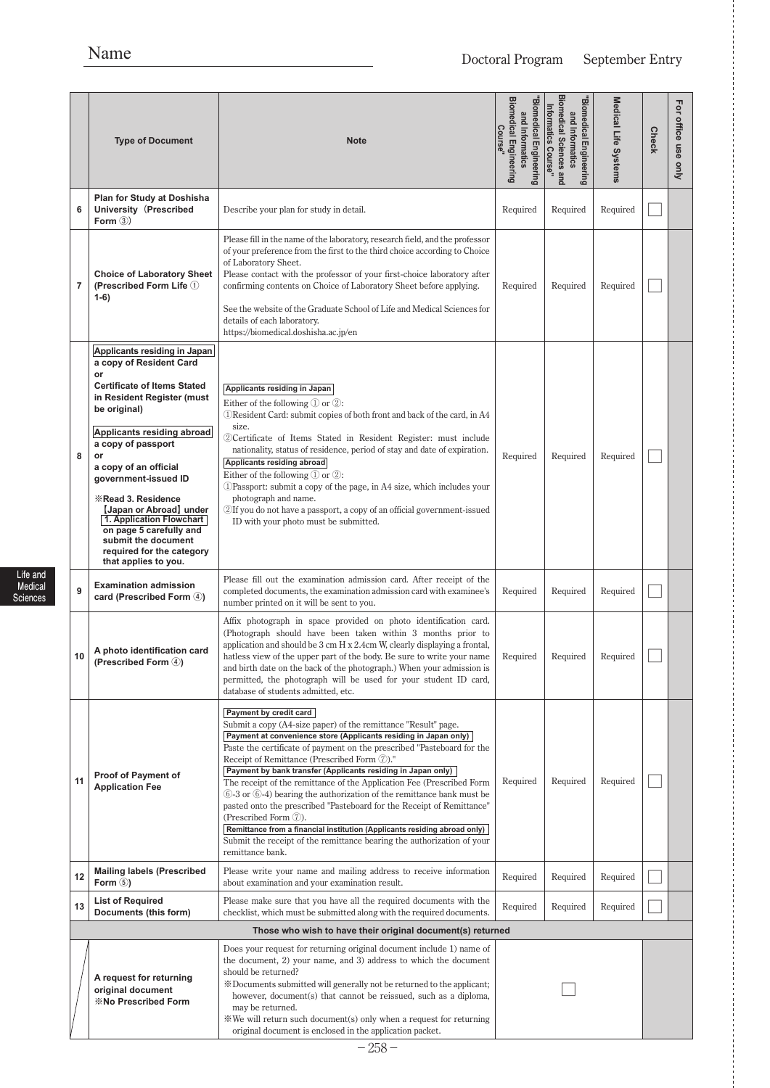**Life and Medical Sciences**

|                | <b>Type of Document</b>                                                                                                                                                                                                                                                                                                                                                                                                                                   | <b>Note</b>                                                                                                                                                                                                                                                                                                                                                                                                                                                                                                                                                                                                                                                                                                                                                                                  | <b>Biomedical Engineering</b><br>'Biomedical Engineering<br>and Informatics<br><b>Course</b> | <b>Biomedical Sciences and</b><br>"Biomedical Engineering<br>and Informatics<br>Informatics Course" | Medical Life Systems | <b>Check</b> | For office use only |
|----------------|-----------------------------------------------------------------------------------------------------------------------------------------------------------------------------------------------------------------------------------------------------------------------------------------------------------------------------------------------------------------------------------------------------------------------------------------------------------|----------------------------------------------------------------------------------------------------------------------------------------------------------------------------------------------------------------------------------------------------------------------------------------------------------------------------------------------------------------------------------------------------------------------------------------------------------------------------------------------------------------------------------------------------------------------------------------------------------------------------------------------------------------------------------------------------------------------------------------------------------------------------------------------|----------------------------------------------------------------------------------------------|-----------------------------------------------------------------------------------------------------|----------------------|--------------|---------------------|
| 6              | Plan for Study at Doshisha<br>University (Prescribed<br>Form $(3)$                                                                                                                                                                                                                                                                                                                                                                                        | Describe your plan for study in detail.                                                                                                                                                                                                                                                                                                                                                                                                                                                                                                                                                                                                                                                                                                                                                      | Required                                                                                     | Required                                                                                            | Required             |              |                     |
| $\overline{7}$ | <b>Choice of Laboratory Sheet</b><br>(Prescribed Form Life 1)<br>$1-6)$                                                                                                                                                                                                                                                                                                                                                                                   | Please fill in the name of the laboratory, research field, and the professor<br>of your preference from the first to the third choice according to Choice<br>of Laboratory Sheet.<br>Please contact with the professor of your first-choice laboratory after<br>confirming contents on Choice of Laboratory Sheet before applying.<br>See the website of the Graduate School of Life and Medical Sciences for<br>details of each laboratory.<br>https://biomedical.doshisha.ac.jp/en                                                                                                                                                                                                                                                                                                         | Required                                                                                     | Required                                                                                            | Required             |              |                     |
| 8              | Applicants residing in Japan<br>a copy of Resident Card<br>or<br><b>Certificate of Items Stated</b><br>in Resident Register (must<br>be original)<br>Applicants residing abroad<br>a copy of passport<br>or<br>a copy of an official<br>government-issued ID<br><b>Example 3. Residence</b><br>[Japan or Abroad] under<br>1. Application Flowchart<br>on page 5 carefully and<br>submit the document<br>required for the category<br>that applies to you. | Applicants residing in Japan<br>Either of the following $(1)$ or $(2)$ :<br>1) Resident Card: submit copies of both front and back of the card, in A4<br>size.<br>2)Certificate of Items Stated in Resident Register: must include<br>nationality, status of residence, period of stay and date of expiration.<br>Applicants residing abroad<br>Either of the following $\mathbb{D}$ or $\mathbb{D}$ :<br>1) Passport: submit a copy of the page, in A4 size, which includes your<br>photograph and name.<br>2If you do not have a passport, a copy of an official government-issued<br>ID with your photo must be submitted.                                                                                                                                                                | Required                                                                                     | Required                                                                                            | Required             |              |                     |
| 9              | <b>Examination admission</b><br>card (Prescribed Form 4)                                                                                                                                                                                                                                                                                                                                                                                                  | Please fill out the examination admission card. After receipt of the<br>completed documents, the examination admission card with examinee's<br>number printed on it will be sent to you.                                                                                                                                                                                                                                                                                                                                                                                                                                                                                                                                                                                                     | Required                                                                                     | Required                                                                                            | Required             |              |                     |
| 10             | A photo identification card<br>(Prescribed Form 4)                                                                                                                                                                                                                                                                                                                                                                                                        | Affix photograph in space provided on photo identification card.<br>(Photograph should have been taken within 3 months prior to<br>application and should be 3 cm H x 2.4cm W, clearly displaying a frontal,<br>hat less view of the upper part of the body. Be sure to write your name<br>and birth date on the back of the photograph.) When your admission is<br>permitted, the photograph will be used for your student ID card,<br>database of students admitted, etc.                                                                                                                                                                                                                                                                                                                  | Required                                                                                     | Required                                                                                            | Required             |              |                     |
| 11             | <b>Proof of Payment of</b><br><b>Application Fee</b>                                                                                                                                                                                                                                                                                                                                                                                                      | Payment by credit card<br>Submit a copy (A4-size paper) of the remittance "Result" page.<br>Payment at convenience store (Applicants residing in Japan only)<br>Paste the certificate of payment on the prescribed "Pasteboard for the<br>Receipt of Remittance (Prescribed Form 7)."<br>Payment by bank transfer (Applicants residing in Japan only)<br>The receipt of the remittance of the Application Fee (Prescribed Form<br>$(6)$ -3 or $(6)$ -4) bearing the authorization of the remittance bank must be<br>pasted onto the prescribed "Pasteboard for the Receipt of Remittance"<br>(Prescribed Form 7).<br>Remittance from a financial institution (Applicants residing abroad only)<br>Submit the receipt of the remittance bearing the authorization of your<br>remittance bank. |                                                                                              | Required                                                                                            | Required             |              |                     |
| 12             | <b>Mailing labels (Prescribed</b><br>Form $(5)$                                                                                                                                                                                                                                                                                                                                                                                                           | Please write your name and mailing address to receive information<br>about examination and your examination result.                                                                                                                                                                                                                                                                                                                                                                                                                                                                                                                                                                                                                                                                          | Required                                                                                     | Required                                                                                            | Required             |              |                     |
| 13             | <b>List of Required</b><br>Documents (this form)                                                                                                                                                                                                                                                                                                                                                                                                          | Please make sure that you have all the required documents with the<br>checklist, which must be submitted along with the required documents.                                                                                                                                                                                                                                                                                                                                                                                                                                                                                                                                                                                                                                                  | Required                                                                                     | Required                                                                                            | Required             |              |                     |
|                |                                                                                                                                                                                                                                                                                                                                                                                                                                                           | Those who wish to have their original document(s) returned                                                                                                                                                                                                                                                                                                                                                                                                                                                                                                                                                                                                                                                                                                                                   |                                                                                              |                                                                                                     |                      |              |                     |
|                | A request for returning<br>original document<br><b>X</b> No Prescribed Form                                                                                                                                                                                                                                                                                                                                                                               | Does your request for returning original document include 1) name of<br>the document, 2) your name, and 3) address to which the document<br>should be returned?<br>*Documents submitted will generally not be returned to the applicant;<br>however, document(s) that cannot be reissued, such as a diploma,<br>may be returned.<br>We will return such document(s) only when a request for returning<br>original document is enclosed in the application packet.                                                                                                                                                                                                                                                                                                                            |                                                                                              |                                                                                                     |                      |              |                     |

 $-258-$